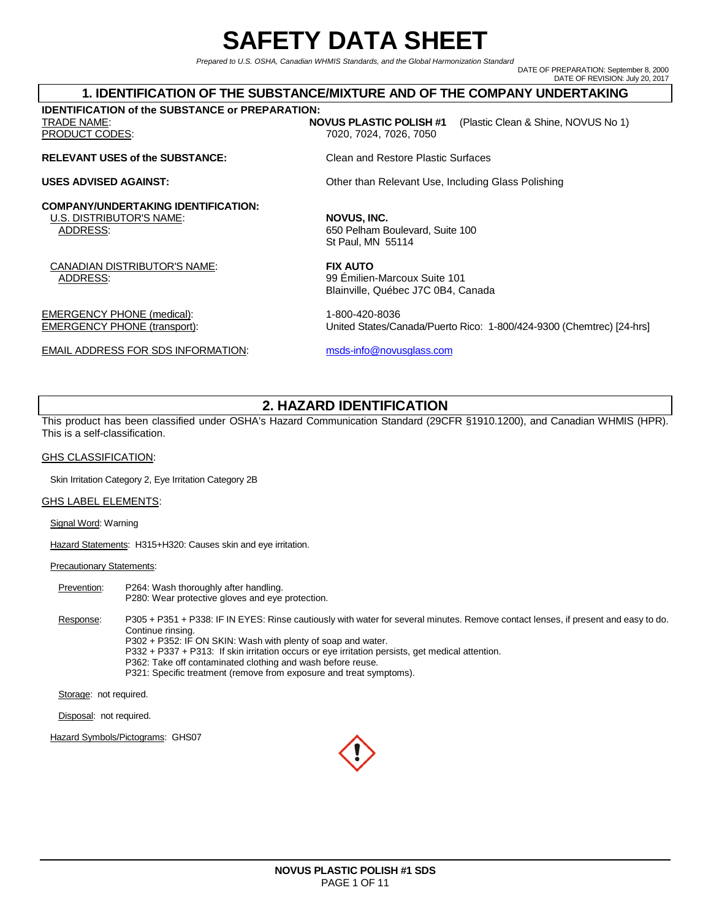# **SAFETY DATA SHEET**

Prepared to U.S. OSHA, Canadian WHMIS Standards, and the Global Harmonization Standard

DATE OF PREPARATION: September 8, 2000 DATE OF REVISION: July 20, 2017

### **1. IDENTIFICATION OF THE SUBSTANCE/MIXTURE AND OF THE COMPANY UNDERTAKING**

**IDENTIFICATION of the SUBSTANCE or PREPARATION:** 

### **RELEVANT USES of the SUBSTANCE:** Clean and Restore Plastic Surfaces

### **COMPANY/UNDERTAKING IDENTIFICATION:**

<u>U.S. DISTRIBUTOR'S NAME</u>: **NOVUS, INC.**<br>ADDRESS: 650 Pelham B

CANADIAN DISTRIBUTOR'S NAME: **FIX AUTO**  ADDRESS: 99 Émilien-Marcoux Suite 101

EMERGENCY PHONE (medical): 1-800-420-8036

EMAIL ADDRESS FOR SDS INFORMATION: msds-info@novusglass.com

TRADE NAME: **NOVUS PLASTIC POLISH #1** (Plastic Clean & Shine, NOVUS No 1) PRODUCT CODES: 7020, 7024, 7026, 7050

**USES ADVISED AGAINST: Other than Relevant Use, Including Glass Polishing** 

650 Pelham Boulevard, Suite 100 St Paul, MN 55114

Blainville, Québec J7C 0B4, Canada

EMERGENCY PHONE (transport): United States/Canada/Puerto Rico: 1-800/424-9300 (Chemtrec) [24-hrs]

# **2. HAZARD IDENTIFICATION**

This product has been classified under OSHA's Hazard Communication Standard (29CFR §1910.1200), and Canadian WHMIS (HPR). This is a self-classification.

#### GHS CLASSIFICATION:

Skin Irritation Category 2, Eye Irritation Category 2B

#### GHS LABEL ELEMENTS:

Signal Word: Warning

Hazard Statements: H315+H320: Causes skin and eye irritation.

#### **Precautionary Statements:**

Prevention: P264: Wash thoroughly after handling. P280: Wear protective gloves and eye protection.

Response: P305 + P351 + P338: IF IN EYES: Rinse cautiously with water for several minutes. Remove contact lenses, if present and easy to do. Continue rinsing.

P302 + P352: IF ON SKIN: Wash with plenty of soap and water.

- P332 + P337 + P313: If skin irritation occurs or eye irritation persists, get medical attention.
- P362: Take off contaminated clothing and wash before reuse. P321: Specific treatment (remove from exposure and treat symptoms).

Storage: not required.

Disposal: not required.

Hazard Symbols/Pictograms: GHS07



**NOVUS PLASTIC POLISH #1 SDS** PAGE 1 OF 11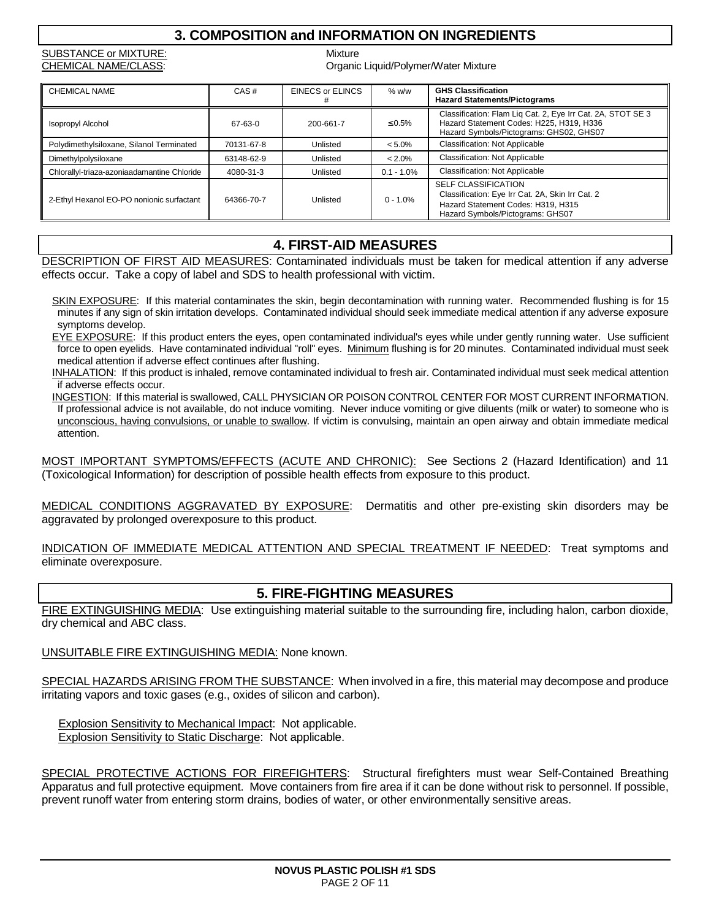# **3. COMPOSITION and INFORMATION ON INGREDIENTS**

SUBSTANCE or MIXTURE: Mixture

CHEMICAL NAME/CLASS: CHEMICAL NAME CLASS:

| <b>CHEMICAL NAME</b>                        | CAS#       | <b>EINECS or ELINCS</b> | % w/w         | <b>GHS Classification</b><br><b>Hazard Statements/Pictograms</b>                                                                                         |
|---------------------------------------------|------------|-------------------------|---------------|----------------------------------------------------------------------------------------------------------------------------------------------------------|
| <b>Isopropyl Alcohol</b>                    | 67-63-0    | 200-661-7               | $\leq 0.5\%$  | Classification: Flam Lig Cat. 2, Eye Irr Cat. 2A, STOT SE 3<br>Hazard Statement Codes: H225, H319, H336<br>Hazard Symbols/Pictograms: GHS02, GHS07       |
| Polydimethylsiloxane, Silanol Terminated    | 70131-67-8 | Unlisted                | $< 5.0\%$     | <b>Classification: Not Applicable</b>                                                                                                                    |
| Dimethylpolysiloxane                        | 63148-62-9 | Unlisted                | $< 2.0\%$     | <b>Classification: Not Applicable</b>                                                                                                                    |
| Chlorallyl-triaza-azoniaadamantine Chloride | 4080-31-3  | Unlisted                | $0.1 - 1.0\%$ | <b>Classification: Not Applicable</b>                                                                                                                    |
| 2-Ethyl Hexanol EO-PO nonionic surfactant   | 64366-70-7 | Unlisted                | $0 - 1.0%$    | <b>SELF CLASSIFICATION</b><br>Classification: Eye Irr Cat. 2A, Skin Irr Cat. 2<br>Hazard Statement Codes: H319, H315<br>Hazard Symbols/Pictograms: GHS07 |

# **4. FIRST-AID MEASURES**

DESCRIPTION OF FIRST AID MEASURES: Contaminated individuals must be taken for medical attention if any adverse effects occur. Take a copy of label and SDS to health professional with victim.

SKIN EXPOSURE: If this material contaminates the skin, begin decontamination with running water. Recommended flushing is for 15 minutes if any sign of skin irritation develops. Contaminated individual should seek immediate medical attention if any adverse exposure symptoms develop.

EYE EXPOSURE: If this product enters the eyes, open contaminated individual's eyes while under gently running water. Use sufficient force to open eyelids. Have contaminated individual "roll" eyes. Minimum flushing is for 20 minutes. Contaminated individual must seek medical attention if adverse effect continues after flushing.

INHALATION: If this product is inhaled, remove contaminated individual to fresh air. Contaminated individual must seek medical attention if adverse effects occur.

INGESTION: If this material is swallowed, CALL PHYSICIAN OR POISON CONTROL CENTER FOR MOST CURRENT INFORMATION. If professional advice is not available, do not induce vomiting. Never induce vomiting or give diluents (milk or water) to someone who is unconscious, having convulsions, or unable to swallow. If victim is convulsing, maintain an open airway and obtain immediate medical attention.

MOST IMPORTANT SYMPTOMS/EFFECTS (ACUTE AND CHRONIC): See Sections 2 (Hazard Identification) and 11 (Toxicological Information) for description of possible health effects from exposure to this product.

MEDICAL CONDITIONS AGGRAVATED BY EXPOSURE: Dermatitis and other pre-existing skin disorders may be aggravated by prolonged overexposure to this product.

INDICATION OF IMMEDIATE MEDICAL ATTENTION AND SPECIAL TREATMENT IF NEEDED: Treat symptoms and eliminate overexposure.

### **5. FIRE-FIGHTING MEASURES**

FIRE EXTINGUISHING MEDIA: Use extinguishing material suitable to the surrounding fire, including halon, carbon dioxide, dry chemical and ABC class.

UNSUITABLE FIRE EXTINGUISHING MEDIA: None known.

SPECIAL HAZARDS ARISING FROM THE SUBSTANCE: When involved in a fire, this material may decompose and produce irritating vapors and toxic gases (e.g., oxides of silicon and carbon).

 Explosion Sensitivity to Mechanical Impact: Not applicable. Explosion Sensitivity to Static Discharge: Not applicable.

SPECIAL PROTECTIVE ACTIONS FOR FIREFIGHTERS: Structural firefighters must wear Self-Contained Breathing Apparatus and full protective equipment. Move containers from fire area if it can be done without risk to personnel. If possible, prevent runoff water from entering storm drains, bodies of water, or other environmentally sensitive areas.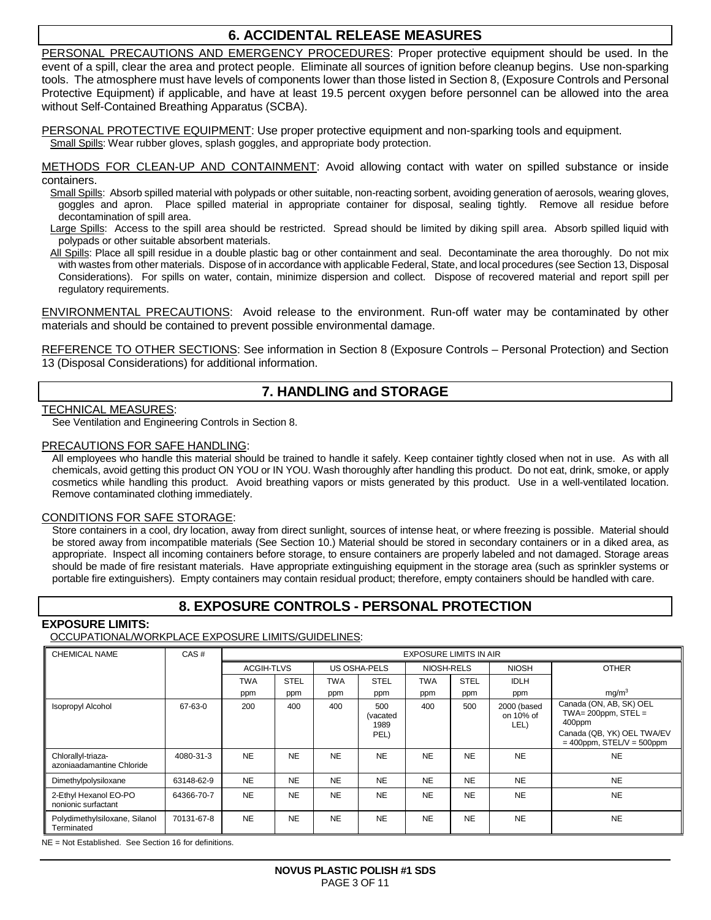# **6. ACCIDENTAL RELEASE MEASURES**

PERSONAL PRECAUTIONS AND EMERGENCY PROCEDURES: Proper protective equipment should be used. In the event of a spill, clear the area and protect people. Eliminate all sources of ignition before cleanup begins. Use non-sparking tools. The atmosphere must have levels of components lower than those listed in Section 8, (Exposure Controls and Personal Protective Equipment) if applicable, and have at least 19.5 percent oxygen before personnel can be allowed into the area without Self-Contained Breathing Apparatus (SCBA).

PERSONAL PROTECTIVE EQUIPMENT: Use proper protective equipment and non-sparking tools and equipment.

Small Spills: Wear rubber gloves, splash goggles, and appropriate body protection.

METHODS FOR CLEAN-UP AND CONTAINMENT: Avoid allowing contact with water on spilled substance or inside containers.

Small Spills: Absorb spilled material with polypads or other suitable, non-reacting sorbent, avoiding generation of aerosols, wearing gloves, goggles and apron. Place spilled material in appropriate container for disposal, sealing tightly. Remove all residue before decontamination of spill area.

Large Spills: Access to the spill area should be restricted. Spread should be limited by diking spill area. Absorb spilled liquid with polypads or other suitable absorbent materials.

All Spills: Place all spill residue in a double plastic bag or other containment and seal. Decontaminate the area thoroughly. Do not mix with wastes from other materials. Dispose of in accordance with applicable Federal, State, and local procedures (see Section 13, Disposal Considerations). For spills on water, contain, minimize dispersion and collect. Dispose of recovered material and report spill per regulatory requirements.

ENVIRONMENTAL PRECAUTIONS: Avoid release to the environment. Run-off water may be contaminated by other materials and should be contained to prevent possible environmental damage.

REFERENCE TO OTHER SECTIONS: See information in Section 8 (Exposure Controls – Personal Protection) and Section 13 (Disposal Considerations) for additional information.

# **7. HANDLING and STORAGE**

### TECHNICAL MEASURES:

See Ventilation and Engineering Controls in Section 8.

### PRECAUTIONS FOR SAFE HANDLING:

All employees who handle this material should be trained to handle it safely. Keep container tightly closed when not in use. As with all chemicals, avoid getting this product ON YOU or IN YOU. Wash thoroughly after handling this product. Do not eat, drink, smoke, or apply cosmetics while handling this product. Avoid breathing vapors or mists generated by this product. Use in a well-ventilated location. Remove contaminated clothing immediately.

### CONDITIONS FOR SAFE STORAGE:

Store containers in a cool, dry location, away from direct sunlight, sources of intense heat, or where freezing is possible. Material should be stored away from incompatible materials (See Section 10.) Material should be stored in secondary containers or in a diked area, as appropriate. Inspect all incoming containers before storage, to ensure containers are properly labeled and not damaged. Storage areas should be made of fire resistant materials. Have appropriate extinguishing equipment in the storage area (such as sprinkler systems or portable fire extinguishers). Empty containers may contain residual product; therefore, empty containers should be handled with care.

# **8. EXPOSURE CONTROLS - PERSONAL PROTECTION**

### **EXPOSURE LIMITS:**

### OCCUPATIONAL/WORKPLACE EXPOSURE LIMITS/GUIDELINES:

| <b>CHEMICAL NAME</b>                            | CAS#       | <b>EXPOSURE LIMITS IN AIR</b> |             |              |                                 |            |             |                                  |                                                                                                                          |
|-------------------------------------------------|------------|-------------------------------|-------------|--------------|---------------------------------|------------|-------------|----------------------------------|--------------------------------------------------------------------------------------------------------------------------|
|                                                 |            | <b>ACGIH-TLVS</b>             |             | US OSHA-PELS |                                 | NIOSH-RELS |             | <b>NIOSH</b>                     | <b>OTHER</b>                                                                                                             |
|                                                 |            | <b>TWA</b>                    | <b>STEL</b> | TWA          | <b>STEL</b>                     | TWA        | <b>STEL</b> | <b>IDLH</b>                      |                                                                                                                          |
|                                                 |            | ppm                           | ppm         | ppm          | ppm                             | ppm        | ppm         | ppm                              | mq/m <sup>3</sup>                                                                                                        |
| <b>Isopropyl Alcohol</b>                        | 67-63-0    | 200                           | 400         | 400          | 500<br>(vacated<br>1989<br>PEL) | 400        | 500         | 2000 (based<br>on 10% of<br>LEL) | Canada (ON, AB, SK) OEL<br>TWA= $200$ ppm, STEL =<br>400ppm<br>Canada (QB, YK) OEL TWA/EV<br>$=$ 400ppm, STEL/V = 500ppm |
| Chlorallyl-triaza-<br>azoniaadamantine Chloride | 4080-31-3  | <b>NE</b>                     | <b>NE</b>   | <b>NE</b>    | <b>NE</b>                       | <b>NE</b>  | <b>NE</b>   | <b>NE</b>                        | <b>NE</b>                                                                                                                |
| Dimethylpolysiloxane                            | 63148-62-9 | <b>NE</b>                     | <b>NE</b>   | <b>NE</b>    | <b>NE</b>                       | <b>NE</b>  | <b>NE</b>   | <b>NE</b>                        | <b>NE</b>                                                                                                                |
| 2-Ethyl Hexanol EO-PO<br>nonionic surfactant    | 64366-70-7 | <b>NE</b>                     | <b>NE</b>   | <b>NE</b>    | <b>NE</b>                       | <b>NE</b>  | <b>NE</b>   | <b>NE</b>                        | <b>NE</b>                                                                                                                |
| Polydimethylsiloxane, Silanol<br>Terminated     | 70131-67-8 | <b>NE</b>                     | <b>NE</b>   | <b>NE</b>    | <b>NE</b>                       | <b>NE</b>  | <b>NE</b>   | <b>NE</b>                        | <b>NE</b>                                                                                                                |

NE = Not Established. See Section 16 for definitions.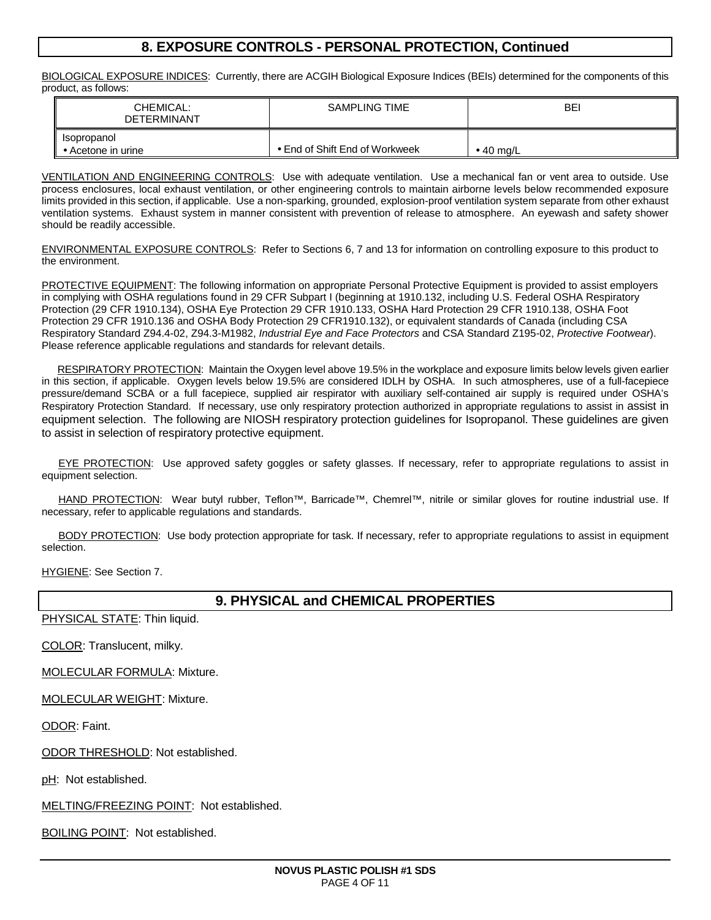# **8. EXPOSURE CONTROLS - PERSONAL PROTECTION, Continued**

BIOLOGICAL EXPOSURE INDICES: Currently, there are ACGIH Biological Exposure Indices (BEIs) determined for the components of this product, as follows:

| CHEMICAL:<br><b>DETERMINANT</b>           | SAMPLING TIME                  | <b>BEI</b>        |
|-------------------------------------------|--------------------------------|-------------------|
| Isopropanol<br>$\bullet$ Acetone in urine | • End of Shift End of Workweek | $\bullet$ 40 mg/L |

VENTILATION AND ENGINEERING CONTROLS: Use with adequate ventilation. Use a mechanical fan or vent area to outside. Use process enclosures, local exhaust ventilation, or other engineering controls to maintain airborne levels below recommended exposure limits provided in this section, if applicable. Use a non-sparking, grounded, explosion-proof ventilation system separate from other exhaust ventilation systems. Exhaust system in manner consistent with prevention of release to atmosphere. An eyewash and safety shower should be readily accessible.

ENVIRONMENTAL EXPOSURE CONTROLS: Refer to Sections 6, 7 and 13 for information on controlling exposure to this product to the environment.

PROTECTIVE EQUIPMENT: The following information on appropriate Personal Protective Equipment is provided to assist employers in complying with OSHA regulations found in 29 CFR Subpart I (beginning at 1910.132, including U.S. Federal OSHA Respiratory Protection (29 CFR 1910.134), OSHA Eye Protection 29 CFR 1910.133, OSHA Hard Protection 29 CFR 1910.138, OSHA Foot Protection 29 CFR 1910.136 and OSHA Body Protection 29 CFR1910.132), or equivalent standards of Canada (including CSA Respiratory Standard Z94.4-02, Z94.3-M1982, Industrial Eye and Face Protectors and CSA Standard Z195-02, Protective Footwear). Please reference applicable regulations and standards for relevant details.

RESPIRATORY PROTECTION: Maintain the Oxygen level above 19.5% in the workplace and exposure limits below levels given earlier in this section, if applicable. Oxygen levels below 19.5% are considered IDLH by OSHA. In such atmospheres, use of a full-facepiece pressure/demand SCBA or a full facepiece, supplied air respirator with auxiliary self-contained air supply is required under OSHA's Respiratory Protection Standard. If necessary, use only respiratory protection authorized in appropriate regulations to assist in assist in equipment selection. The following are NIOSH respiratory protection guidelines for Isopropanol. These guidelines are given to assist in selection of respiratory protective equipment.

 EYE PROTECTION: Use approved safety goggles or safety glasses. If necessary, refer to appropriate regulations to assist in equipment selection.

HAND PROTECTION: Wear butyl rubber, Teflon™, Barricade™, Chemrel™, nitrile or similar gloves for routine industrial use. If necessary, refer to applicable regulations and standards.

BODY PROTECTION: Use body protection appropriate for task. If necessary, refer to appropriate regulations to assist in equipment selection.

HYGIENE: See Section 7.

### **9. PHYSICAL and CHEMICAL PROPERTIES**

PHYSICAL STATE: Thin liquid.

COLOR: Translucent, milky.

MOLECULAR FORMULA: Mixture.

MOLECULAR WEIGHT: Mixture.

ODOR: Faint.

ODOR THRESHOLD: Not established.

pH: Not established.

MELTING/FREEZING POINT: Not established.

BOILING POINT: Not established.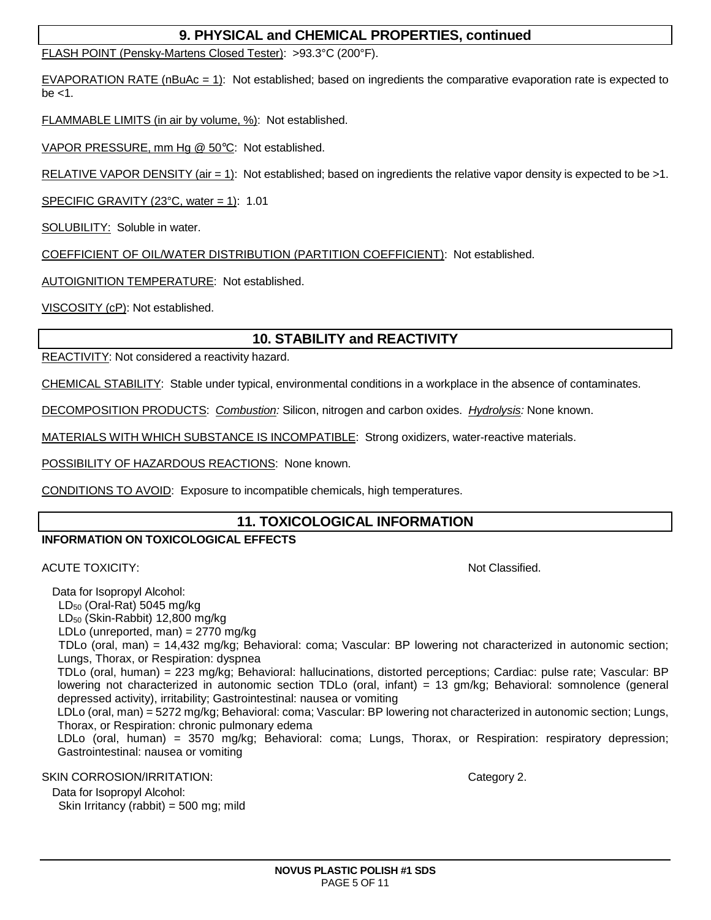# **9. PHYSICAL and CHEMICAL PROPERTIES, continued**

FLASH POINT (Pensky-Martens Closed Tester): >93.3°C (200°F).

EVAPORATION RATE (nBuAc = 1): Not established; based on ingredients the comparative evaporation rate is expected to be  $<1$ .

FLAMMABLE LIMITS (in air by volume, %): Not established.

VAPOR PRESSURE, mm Hg @ 50°C: Not established.

RELATIVE VAPOR DENSITY (air = 1): Not established; based on ingredients the relative vapor density is expected to be >1.

SPECIFIC GRAVITY (23 $^{\circ}$ C, water = 1): 1.01

SOLUBILITY: Soluble in water.

COEFFICIENT OF OIL/WATER DISTRIBUTION (PARTITION COEFFICIENT): Not established.

AUTOIGNITION TEMPERATURE: Not established.

VISCOSITY (cP): Not established.

# **10. STABILITY and REACTIVITY**

REACTIVITY: Not considered a reactivity hazard.

CHEMICAL STABILITY: Stable under typical, environmental conditions in a workplace in the absence of contaminates.

DECOMPOSITION PRODUCTS: Combustion: Silicon, nitrogen and carbon oxides. Hydrolysis: None known.

MATERIALS WITH WHICH SUBSTANCE IS INCOMPATIBLE: Strong oxidizers, water-reactive materials.

POSSIBILITY OF HAZARDOUS REACTIONS: None known.

CONDITIONS TO AVOID: Exposure to incompatible chemicals, high temperatures.

### **11. TOXICOLOGICAL INFORMATION**

### **INFORMATION ON TOXICOLOGICAL EFFECTS**

### ACUTE TOXICITY: Not Classified.

Data for Isopropyl Alcohol:

 $LD_{50}$  (Oral-Rat) 5045 mg/kg

LD50 (Skin-Rabbit) 12,800 mg/kg

LDLo (unreported, man) = 2770 mg/kg

TDLo (oral, man) = 14,432 mg/kg; Behavioral: coma; Vascular: BP lowering not characterized in autonomic section; Lungs, Thorax, or Respiration: dyspnea

TDLo (oral, human) = 223 mg/kg; Behavioral: hallucinations, distorted perceptions; Cardiac: pulse rate; Vascular: BP lowering not characterized in autonomic section TDLo (oral, infant) = 13 gm/kg; Behavioral: somnolence (general depressed activity), irritability; Gastrointestinal: nausea or vomiting

LDLo (oral, man) = 5272 mg/kg; Behavioral: coma; Vascular: BP lowering not characterized in autonomic section; Lungs, Thorax, or Respiration: chronic pulmonary edema

LDLo (oral, human) = 3570 mg/kg; Behavioral: coma; Lungs, Thorax, or Respiration: respiratory depression; Gastrointestinal: nausea or vomiting

SKIN CORROSION/IRRITATION: **Category 2.** Category 2.

Data for Isopropyl Alcohol: Skin Irritancy (rabbit) = 500 mg; mild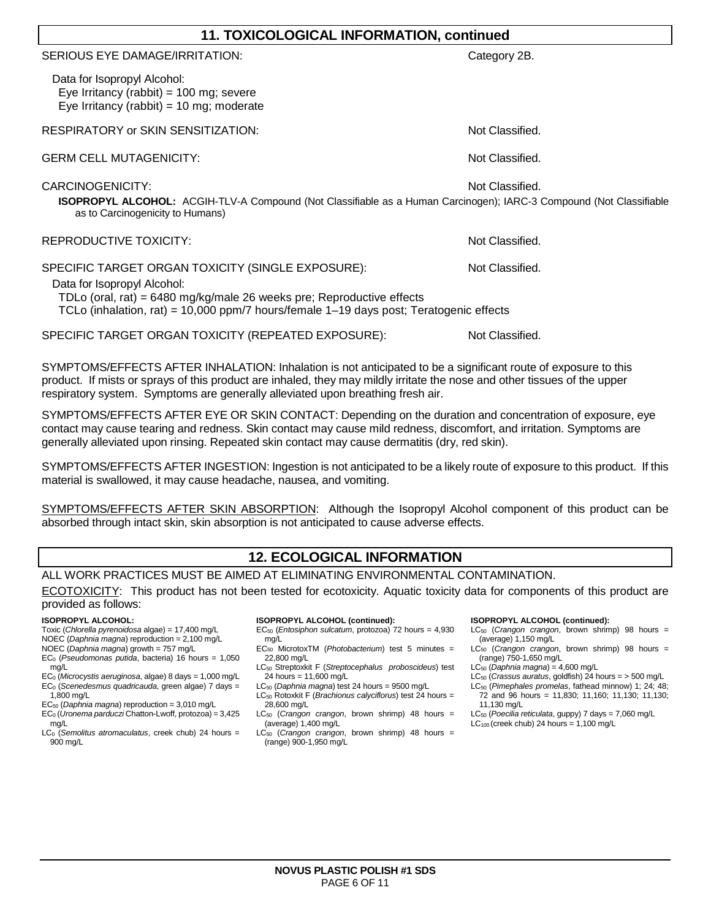| <b>11. TOXICOLOGICAL INFORMATION, continued</b>                                                                                                                                                                                                       |                 |  |  |  |
|-------------------------------------------------------------------------------------------------------------------------------------------------------------------------------------------------------------------------------------------------------|-----------------|--|--|--|
| SERIOUS EYE DAMAGE/IRRITATION:                                                                                                                                                                                                                        | Category 2B.    |  |  |  |
| Data for Isopropyl Alcohol:<br>Eye Irritancy (rabbit) = $100$ mg; severe<br>Eye Irritancy (rabbit) = 10 mg; moderate                                                                                                                                  |                 |  |  |  |
| RESPIRATORY or SKIN SENSITIZATION:                                                                                                                                                                                                                    | Not Classified. |  |  |  |
| <b>GERM CELL MUTAGENICITY:</b>                                                                                                                                                                                                                        | Not Classified. |  |  |  |
| CARCINOGENICITY:<br>ISOPROPYL ALCOHOL: ACGIH-TLV-A Compound (Not Classifiable as a Human Carcinogen); IARC-3 Compound (Not Classifiable<br>as to Carcinogenicity to Humans)                                                                           | Not Classified. |  |  |  |
| REPRODUCTIVE TOXICITY:                                                                                                                                                                                                                                | Not Classified. |  |  |  |
| SPECIFIC TARGET ORGAN TOXICITY (SINGLE EXPOSURE):<br>Data for Isopropyl Alcohol:<br>TDLo (oral, rat) = $6480$ mg/kg/male 26 weeks pre; Reproductive effects<br>TCLo (inhalation, rat) = 10,000 ppm/7 hours/female 1-19 days post; Teratogenic effects | Not Classified. |  |  |  |
| SPECIFIC TARGET ORGAN TOXICITY (REPEATED EXPOSURE):                                                                                                                                                                                                   | Not Classified. |  |  |  |
| SYMPTOMS/FEFECTS AFTER INHALATION: Inhalation is not anticipated to be a significant route of exposure to this                                                                                                                                        |                 |  |  |  |

SYMPTOMS/EFFECTS AFTER INHALATION: Inhalation is not anticipated to be a significant route of exposure to this product. If mists or sprays of this product are inhaled, they may mildly irritate the nose and other tissues of the upper respiratory system. Symptoms are generally alleviated upon breathing fresh air.

SYMPTOMS/EFFECTS AFTER EYE OR SKIN CONTACT: Depending on the duration and concentration of exposure, eye contact may cause tearing and redness. Skin contact may cause mild redness, discomfort, and irritation. Symptoms are generally alleviated upon rinsing. Repeated skin contact may cause dermatitis (dry, red skin).

SYMPTOMS/EFFECTS AFTER INGESTION: Ingestion is not anticipated to be a likely route of exposure to this product. If this material is swallowed, it may cause headache, nausea, and vomiting.

SYMPTOMS/EFFECTS AFTER SKIN ABSORPTION: Although the Isopropyl Alcohol component of this product can be absorbed through intact skin, skin absorption is not anticipated to cause adverse effects.

# **12. ECOLOGICAL INFORMATION**

ALL WORK PRACTICES MUST BE AIMED AT ELIMINATING ENVIRONMENTAL CONTAMINATION.

ECOTOXICITY: This product has not been tested for ecotoxicity. Aquatic toxicity data for components of this product are provided as follows:

#### **ISOPROPYL ALCOHOL:**

- Toxic (Chlorella pyrenoidosa algae) = 17,400 mg/L NOEC (Daphnia magna) reproduction = 2,100 mg/L
- NOEC (Daphnia magna) growth = 757 mg/L
- $EC<sub>0</sub>$  (Pseudomonas putida, bacteria) 16 hours = 1,050 mg/L
- $EC<sub>0</sub>$  (Microcystis aeruginosa, algae) 8 days = 1,000 mg/L  $EC<sub>0</sub>$  (Scenedesmus quadricauda, green algae) 7 days = 1,800 mg/L
- $EC_{50}$  (Daphnia magna) reproduction = 3,010 mg/L
- $EC<sub>0</sub>$  (Uronema parduczi Chatton-Lwoff, protozoa) = 3,425
- mg/L  $LC<sub>0</sub>$  (Semolitus atromaculatus, creek chub) 24 hours =
- 900 mg/L

#### **ISOPROPYL ALCOHOL (continued):**

- $EC_{50}$  (Entosiphon sulcatum, protozoa) 72 hours = 4,930 mg/L
- $EC_{50}$  MicrotoxTM (*Photobacterium*) test 5 minutes = 22,800 mg/L
- LC<sub>50</sub> Streptoxkit F (Streptocephalus proboscideus) test 24 hours = 11,600 mg/L
- LC<sub>50</sub> (Daphnia magna) test 24 hours = 9500 mg/L LC<sub>50</sub> Rotoxkit F (Brachionus calyciflorus) test 24 hours = 28,600 mg/L
- $LC_{50}$  (Crangon crangon, brown shrimp) 48 hours = (average) 1,400 mg/L
- $LC_{50}$  (Crangon crangon, brown shrimp) 48 hours = (range) 900-1,950 mg/L

#### **ISOPROPYL ALCOHOL (continued):**

- $LC_{50}$  (Crangon crangon, brown shrimp) 98 hours = (average) 1,150 mg/L  $LC_{50}$  (Crangon crangon, brown shrimp) 98 hours =
- (range) 750-1,650 mg/L
- $LC_{50}$  (Daphnia magna) = 4,600 mg/L
- LC<sub>50</sub> (Crassus auratus, goldfish) 24 hours =  $>$  500 mg/L
- LC<sub>50</sub> (Pimephales promelas, fathead minnow) 1; 24; 48; 72 and 96 hours = 11,830; 11,160; 11,130; 11,130; 11,130 mg/L
- LC<sub>50</sub> (Poecilia reticulata, guppy) 7 days = 7,060 mg/L
- $LC_{100}$  (creek chub) 24 hours = 1,100 mg/L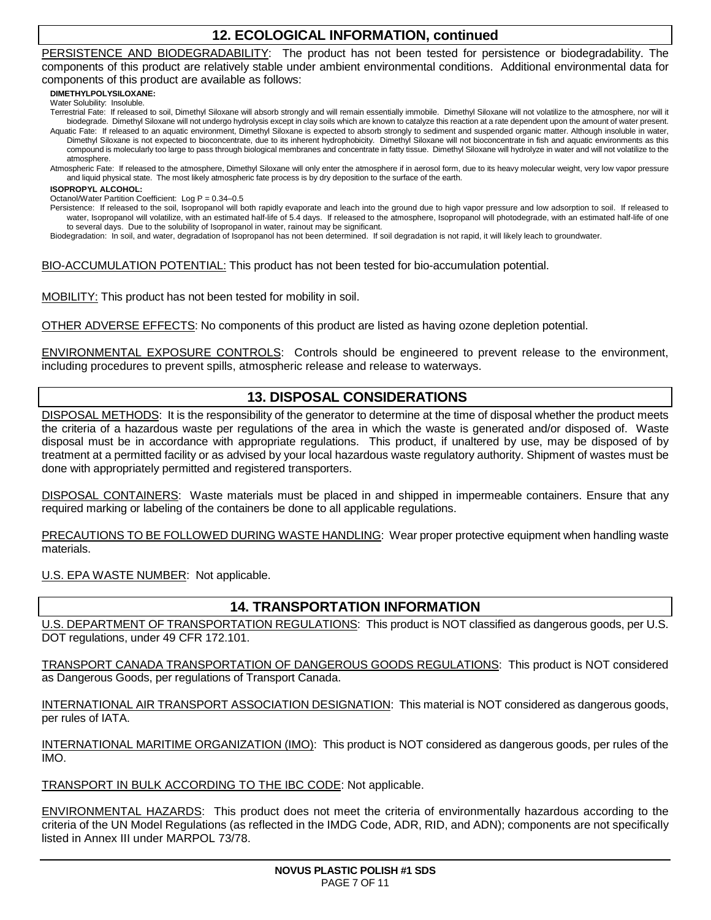# **12. ECOLOGICAL INFORMATION, continued**

PERSISTENCE AND BIODEGRADABILITY: The product has not been tested for persistence or biodegradability. The components of this product are relatively stable under ambient environmental conditions. Additional environmental data for components of this product are available as follows:

**DIMETHYLPOLYSILOXANE:**

Water Solubility: Insoluble.

Terrestrial Fate: If released to soil, Dimethyl Siloxane will absorb strongly and will remain essentially immobile. Dimethyl Siloxane will not volatilize to the atmosphere, nor will it biodegrade. Dimethyl Siloxane will not undergo hydrolysis except in clay soils which are known to catalyze this reaction at a rate dependent upon the amount of water present. Aquatic Fate: If released to an aquatic environment, Dimethyl Siloxane is expected to absorb strongly to sediment and suspended organic matter. Although insoluble in water,

Dimethyl Siloxane is not expected to bioconcentrate, due to its inherent hydrophobicity. Dimethyl Siloxane will not bioconcentrate in fish and aquatic environments as this compound is molecularly too large to pass through biological membranes and concentrate in fatty tissue. Dimethyl Siloxane will hydrolyze in water and will not volatilize to the atmosphere.

Atmospheric Fate: If released to the atmosphere, Dimethyl Siloxane will only enter the atmosphere if in aerosol form, due to its heavy molecular weight, very low vapor pressure and liquid physical state. The most likely atmospheric fate process is by dry deposition to the surface of the earth.

#### **ISOPROPYL ALCOHOL:**

Octanol/Water Partition Coefficient: Log P = 0.34–0.5

Persistence: If released to the soil, Isopropanol will both rapidly evaporate and leach into the ground due to high vapor pressure and low adsorption to soil. If released to water, Isopropanol will volatilize, with an estimated half-life of 5.4 days. If released to the atmosphere, Isopropanol will photodegrade, with an estimated half-life of one to several days. Due to the solubility of Isopropanol in water, rainout may be significant.

Biodegradation: In soil, and water, degradation of Isopropanol has not been determined. If soil degradation is not rapid, it will likely leach to groundwater.

BIO-ACCUMULATION POTENTIAL: This product has not been tested for bio-accumulation potential.

MOBILITY: This product has not been tested for mobility in soil.

OTHER ADVERSE EFFECTS: No components of this product are listed as having ozone depletion potential.

ENVIRONMENTAL EXPOSURE CONTROLS: Controls should be engineered to prevent release to the environment, including procedures to prevent spills, atmospheric release and release to waterways.

### **13. DISPOSAL CONSIDERATIONS**

DISPOSAL METHODS: It is the responsibility of the generator to determine at the time of disposal whether the product meets the criteria of a hazardous waste per regulations of the area in which the waste is generated and/or disposed of. Waste disposal must be in accordance with appropriate regulations. This product, if unaltered by use, may be disposed of by treatment at a permitted facility or as advised by your local hazardous waste regulatory authority. Shipment of wastes must be done with appropriately permitted and registered transporters.

DISPOSAL CONTAINERS: Waste materials must be placed in and shipped in impermeable containers. Ensure that any required marking or labeling of the containers be done to all applicable regulations.

PRECAUTIONS TO BE FOLLOWED DURING WASTE HANDLING: Wear proper protective equipment when handling waste materials.

U.S. EPA WASTE NUMBER: Not applicable.

# **14. TRANSPORTATION INFORMATION**

U.S. DEPARTMENT OF TRANSPORTATION REGULATIONS: This product is NOT classified as dangerous goods, per U.S. DOT regulations, under 49 CFR 172.101.

TRANSPORT CANADA TRANSPORTATION OF DANGEROUS GOODS REGULATIONS: This product is NOT considered as Dangerous Goods, per regulations of Transport Canada.

INTERNATIONAL AIR TRANSPORT ASSOCIATION DESIGNATION: This material is NOT considered as dangerous goods, per rules of IATA.

INTERNATIONAL MARITIME ORGANIZATION (IMO): This product is NOT considered as dangerous goods, per rules of the IMO.

TRANSPORT IN BULK ACCORDING TO THE IBC CODE: Not applicable.

ENVIRONMENTAL HAZARDS: This product does not meet the criteria of environmentally hazardous according to the criteria of the UN Model Regulations (as reflected in the IMDG Code, ADR, RID, and ADN); components are not specifically listed in Annex III under MARPOL 73/78.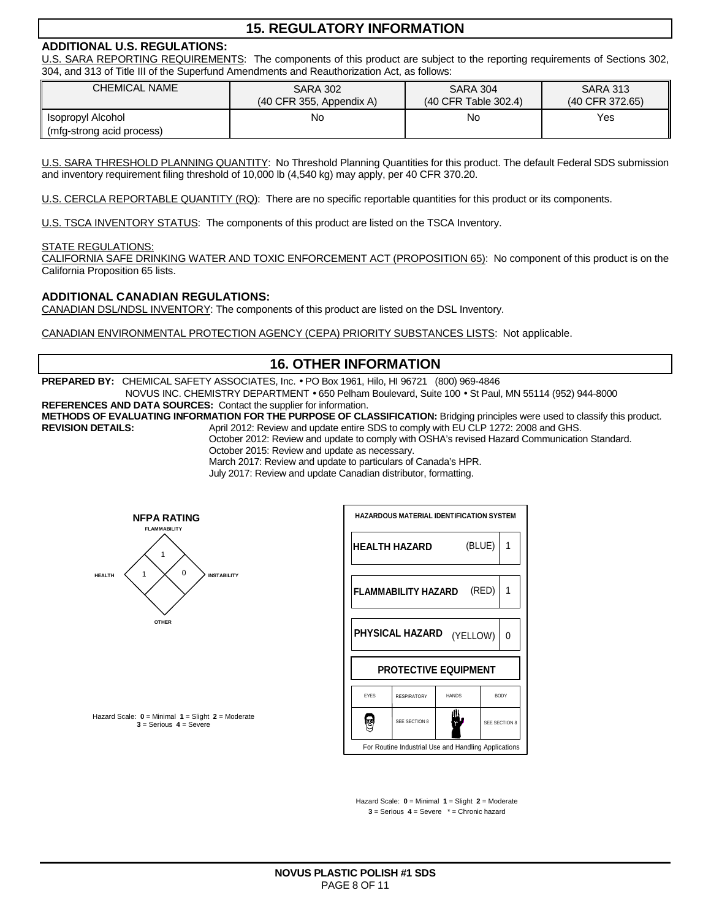# **15. REGULATORY INFORMATION**

### **ADDITIONAL U.S. REGULATIONS:**

U.S. SARA REPORTING REQUIREMENTS: The components of this product are subject to the reporting requirements of Sections 302, 304, and 313 of Title III of the Superfund Amendments and Reauthorization Act, as follows:

| <b>CHEMICAL NAME</b>                           | <b>SARA 302</b>            | <b>SARA 304</b>      | <b>SARA 313</b> |
|------------------------------------------------|----------------------------|----------------------|-----------------|
|                                                | $(40$ CFR 355, Appendix A) | (40 CFR Table 302.4) | (40 CFR 372.65) |
| Isopropyl Alcohol<br>(mfg-strong acid process) | No                         | No                   | Yes             |

U.S. SARA THRESHOLD PLANNING QUANTITY: No Threshold Planning Quantities for this product. The default Federal SDS submission and inventory requirement filing threshold of 10,000 lb (4,540 kg) may apply, per 40 CFR 370.20.

U.S. CERCLA REPORTABLE QUANTITY (RQ): There are no specific reportable quantities for this product or its components.

U.S. TSCA INVENTORY STATUS: The components of this product are listed on the TSCA Inventory.

#### STATE REGULATIONS:

CALIFORNIA SAFE DRINKING WATER AND TOXIC ENFORCEMENT ACT (PROPOSITION 65): No component of this product is on the California Proposition 65 lists.

### **ADDITIONAL CANADIAN REGULATIONS:**

CANADIAN DSL/NDSL INVENTORY: The components of this product are listed on the DSL Inventory.

CANADIAN ENVIRONMENTAL PROTECTION AGENCY (CEPA) PRIORITY SUBSTANCES LISTS: Not applicable.

# **16. OTHER INFORMATION**

**PREPARED BY:** CHEMICAL SAFETY ASSOCIATES, Inc. • PO Box 1961, Hilo, HI 96721 (800) 969-4846

NOVUS INC. CHEMISTRY DEPARTMENT • 650 Pelham Boulevard, Suite 100 • St Paul, MN 55114 (952) 944-8000 **REFERENCES AND DATA SOURCES:** Contact the supplier for information.

**METHODS OF EVALUATING INFORMATION FOR THE PURPOSE OF CLASSIFICATION:** Bridging principles were used to classify this product. April 2012: Review and update entire SDS to comply with EU CLP 1272: 2008 and GHS.

October 2012: Review and update to comply with OSHA's revised Hazard Communication Standard.

October 2015: Review and update as necessary.

March 2017: Review and update to particulars of Canada's HPR.

July 2017: Review and update Canadian distributor, formatting.



**HAZARDOUS MATERIAL IDENTIFICATION SYSTEM** (BLUE) 1 **HEALTH HAZARD**  (RED) **FLAMMABILITY HAZARD**  1 **PHYSICAL HAZARD**  (YELLOW) 0 **PROTECTIVE EQUIPMENT**  EYES RESPIRATORY HANDS BODY ₩ é SEE SECTION 8 SEE SECTION For Routine Industrial Use and Handling Applications

Hazard Scale: **0** = Minimal **1** = Slight **2** = Moderate **3** = Serious **4** = Severe

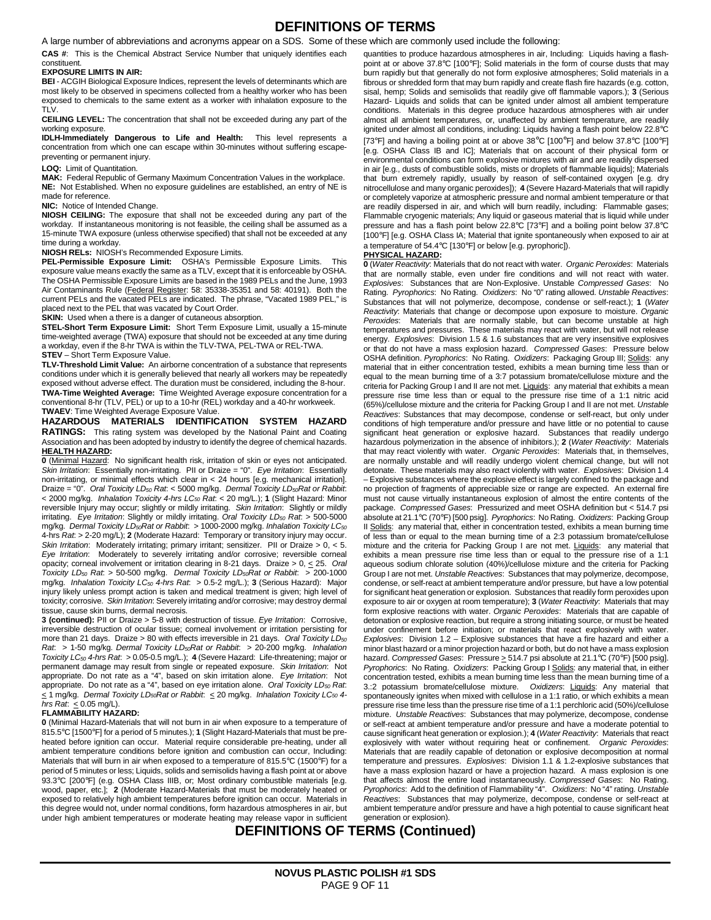# **DEFINITIONS OF TERMS**

A large number of abbreviations and acronyms appear on a SDS. Some of these which are commonly used include the following:

**CAS #**: This is the Chemical Abstract Service Number that uniquely identifies each constituent.

#### **EXPOSURE LIMITS IN AIR:**

**BEI** - ACGIH Biological Exposure Indices, represent the levels of determinants which are most likely to be observed in specimens collected from a healthy worker who has been exposed to chemicals to the same extent as a worker with inhalation exposure to the TLV.

**CEILING LEVEL:** The concentration that shall not be exceeded during any part of the working exposure.

**IDLH-Immediately Dangerous to Life and Health:** This level represents a concentration from which one can escape within 30-minutes without suffering escapepreventing or permanent injury.

#### **LOQ:** Limit of Quantitation.

**MAK:** Federal Republic of Germany Maximum Concentration Values in the workplace. **NE:** Not Established. When no exposure guidelines are established, an entry of NE is made for reference.

#### **NIC:** Notice of Intended Change.

**NIOSH CEILING:** The exposure that shall not be exceeded during any part of the workday. If instantaneous monitoring is not feasible, the ceiling shall be assumed as a 15-minute TWA exposure (unless otherwise specified) that shall not be exceeded at any time during a workday.

#### **NIOSH RELs:** NIOSH's Recommended Exposure Limits.

**PEL-Permissible Exposure Limit:** OSHA's Permissible Exposure Limits. This exposure value means exactly the same as a TLV, except that it is enforceable by OSHA. The OSHA Permissible Exposure Limits are based in the 1989 PELs and the June, 1993 Air Contaminants Rule (Federal Register: 58: 35338-35351 and 58: 40191). Both the current PELs and the vacated PELs are indicated. The phrase, "Vacated 1989 PEL," is placed next to the PEL that was vacated by Court Order.

**SKIN:** Used when a there is a danger of cutaneous absorption.

**STEL-Short Term Exposure Limit:** Short Term Exposure Limit, usually a 15-minute time-weighted average (TWA) exposure that should not be exceeded at any time during a workday, even if the 8-hr TWA is within the TLV-TWA, PEL-TWA or REL-TWA. **STEV** – Short Term Exposure Value.

#### **TLV-Threshold Limit Value:** An airborne concentration of a substance that represents conditions under which it is generally believed that nearly all workers may be repeatedly exposed without adverse effect. The duration must be considered, including the 8-hour. **TWA-Time Weighted Average:** T**i**me Weighted Average exposure concentration for a conventional 8-hr (TLV, PEL) or up to a 10-hr (REL) workday and a 40-hr workweek. **TWAEV**: Time Weighted Average Exposure Value.

**HAZARDOUS MATERIALS IDENTIFICATION SYSTEM HAZARD RATINGS:** This rating system was developed by the National Paint and Coating Association and has been adopted by industry to identify the degree of chemical hazards. **HEALTH HAZARD:**

**0** (Minimal Hazard: No significant health risk, irritation of skin or eyes not anticipated. Skin Irritation: Essentially non-irritating. PII or Draize = "0". Eye Irritation: Essentially non-irritating, or minimal effects which clear in < 24 hours [e.g. mechanical irritation]. Draize = "0". Oral Toxicity  $LD_{50}$  Rat: < 5000 mg/kg. Dermal Toxicity  $LD_{50}$ Rat or Rabbit: < 2000 mg/kg. Inhalation Toxicity 4-hrs LC<sub>50</sub> Rat. < 20 mg/L.); **1** (Slight Hazard: Minor reversible Injury may occur; slightly or mildly irritating. Skin Irritation: Slightly or mildly irritating. Eye Irritation: Slightly or mildly irritating. Oral Toxicity  $LD_{50}$  Rat:  $>$  500-5000 mg/kg. Dermal Toxicity LD<sub>50</sub>Rat or Rabbit: > 1000-2000 mg/kg. Inhalation Toxicity LC<sub>50</sub> 4-hrs Rat: > 2-20 mg/L); **2** (Moderate Hazard: Temporary or transitory injury may occur. Skin Irritation: Moderately irritating; primary irritant; sensitizer. PII or Draize  $> 0, < 5$ . Eye Irritation: Moderately to severely irritating and/or corrosive; reversible corneal opacity; corneal involvement or irritation clearing in 8-21 days. Draize  $> 0, \leq 25$ . Oral Toxicity LD<sub>50</sub> Rat: > 50-500 mg/kg. Dermal Toxicity LD<sub>50</sub>Rat or Rabbit: > 200-1000 mg/kg. Inhalation Toxicity LC<sub>50</sub> 4-hrs Rat: > 0.5-2 mg/L.); 3 (Serious Hazard): Major injury likely unless prompt action is taken and medical treatment is given; high level of toxicity; corrosive. Skin Irritation: Severely irritating and/or corrosive; may destroy dermal tissue, cause skin burns, dermal necrosis.

**3 (continued):** PII or Draize > 5-8 with destruction of tissue. Eye Irritation: Corrosive, irreversible destruction of ocular tissue; corneal involvement or irritation persisting for more than 21 days. Draize > 80 with effects irreversible in 21 days. Oral Toxicity  $LD_{50}$ Rat: > 1-50 mg/kg. Dermal Toxicity LD<sub>50</sub>Rat or Rabbit: > 20-200 mg/kg. Inhalation Toxicity LC50 4-hrs Rat: > 0.05-0.5 mg/L.); **4** (Severe Hazard: Life-threatening; major or permanent damage may result from single or repeated exposure. Skin Irritation: Not appropriate. Do not rate as a "4", based on skin irritation alone. Eye Irritation: Not appropriate. Do not rate as a "4", based on eye irritation alone. Oral Toxicity LD<sub>50</sub> Rat.  $\leq$  1 mg/kg. Dermal Toxicity LD<sub>50</sub>Rat or Rabbit:  $\leq$  20 mg/kg. Inhalation Toxicity LC<sub>50</sub> 4hrs Rat:  $< 0.05$  mg/L).

#### **FLAMMABILITY HAZARD:**

**0** (Minimal Hazard-Materials that will not burn in air when exposure to a temperature of 815.5°C [1500°F] for a period of 5 minutes.); **1** (Slight Hazard-Materials that must be preheated before ignition can occur. Material require considerable pre-heating, under all ambient temperature conditions before ignition and combustion can occur, Including: Materials that will burn in air when exposed to a temperature of 815.5°C (1500°F) for a period of 5 minutes or less; Liquids, solids and semisolids having a flash point at or above 93.3°C [200°F] (e.g. OSHA Class IIIB, or; Most ordinary combustible materials [e.g. wood, paper, etc.]; **2** (Moderate Hazard-Materials that must be moderately heated or exposed to relatively high ambient temperatures before ignition can occur. Materials in this degree would not, under normal conditions, form hazardous atmospheres in air, but under high ambient temperatures or moderate heating may release vapor in sufficient quantities to produce hazardous atmospheres in air, Including: Liquids having a flashpoint at or above 37.8°C [100°F]; Solid materials in the form of course dusts that may burn rapidly but that generally do not form explosive atmospheres; Solid materials in a fibrous or shredded form that may burn rapidly and create flash fire hazards (e.g. cotton, sisal, hemp; Solids and semisolids that readily give off flammable vapors.); **3** (Serious Hazard- Liquids and solids that can be ignited under almost all ambient temperature conditions. Materials in this degree produce hazardous atmospheres with air under almost all ambient temperatures, or, unaffected by ambient temperature, are readily ignited under almost all conditions, including: Liquids having a flash point below 22.8°C [73°F] and having a boiling point at or above 38°C [100°F] and below 37.8°C [100°F] [e.g. OSHA Class IB and IC]; Materials that on account of their physical form or environmental conditions can form explosive mixtures with air and are readily dispersed in air [e.g., dusts of combustible solids, mists or droplets of flammable liquids]; Materials that burn extremely rapidly, usually by reason of self-contained oxygen [e.g. dry nitrocellulose and many organic peroxides]); **4** (Severe Hazard-Materials that will rapidly or completely vaporize at atmospheric pressure and normal ambient temperature or that are readily dispersed in air, and which will burn readily, including: Flammable gases; Flammable cryogenic materials; Any liquid or gaseous material that is liquid while under pressure and has a flash point below 22.8°C [73°F] and a boiling point below 37.8°C [100°F] [e.g. OSHA Class IA; Material that ignite spontaneously when exposed to air at a temperature of 54.4°C [130°F] or below [e.g. pyrophoric]).

#### **PHYSICAL HAZARD:**

**0** (Water Reactivity: Materials that do not react with water. Organic Peroxides: Materials that are normally stable, even under fire conditions and will not react with water. Explosives: Substances that are Non-Explosive. Unstable Compressed Gases: No Rating. Pyrophorics: No Rating. Oxidizers: No "0" rating allowed. Unstable Reactives: Substances that will not polymerize, decompose, condense or self-react.); **1** (Water Reactivity: Materials that change or decompose upon exposure to moisture. Organic Peroxides: Materials that are normally stable, but can become unstable at high temperatures and pressures. These materials may react with water, but will not release energy. Explosives: Division 1.5 & 1.6 substances that are very insensitive explosives or that do not have a mass explosion hazard. Compressed Gases: Pressure below OSHA definition. Pyrophorics: No Rating. Oxidizers: Packaging Group III; Solids: any material that in either concentration tested, exhibits a mean burning time less than or equal to the mean burning time of a 3:7 potassium bromate/cellulose mixture and the criteria for Packing Group I and II are not met. Liquids: any material that exhibits a mean pressure rise time less than or equal to the pressure rise time of a 1:1 nitric acid (65%)/cellulose mixture and the criteria for Packing Group I and II are not met. Unstable Reactives: Substances that may decompose, condense or self-react, but only under conditions of high temperature and/or pressure and have little or no potential to cause significant heat generation or explosive hazard. Substances that readily undergo hazardous polymerization in the absence of inhibitors.); **2** (Water Reactivity: Materials that may react violently with water. Organic Peroxides: Materials that, in themselves, are normally unstable and will readily undergo violent chemical change, but will not detonate. These materials may also react violently with water. Explosives: Division 1.4 – Explosive substances where the explosive effect is largely confined to the package and no projection of fragments of appreciable size or range are expected. An external fire must not cause virtually instantaneous explosion of almost the entire contents of the package. Compressed Gases: Pressurized and meet OSHA definition but < 514.7 psi absolute at 21.1°C (70°F) [500 psig]. Pyrophorics: No Rating. Oxidizers: Packing Group II Solids: any material that, either in concentration tested, exhibits a mean burning time of less than or equal to the mean burning time of a 2:3 potassium bromate/cellulose mixture and the criteria for Packing Group I are not met. Liquids: any material that exhibits a mean pressure rise time less than or equal to the pressure rise of a 1:1 aqueous sodium chlorate solution (40%)/cellulose mixture and the criteria for Packing Group I are not met. Unstable Reactives: Substances that may polymerize, decompose, condense, or self-react at ambient temperature and/or pressure, but have a low potential for significant heat generation or explosion. Substances that readily form peroxides upon exposure to air or oxygen at room temperature); **3** (Water Reactivity: Materials that may form explosive reactions with water. Organic Peroxides: Materials that are capable of detonation or explosive reaction, but require a strong initiating source, or must be heated under confinement before initiation; or materials that react explosively with water. Explosives: Division 1.2 – Explosive substances that have a fire hazard and either a minor blast hazard or a minor projection hazard or both, but do not have a mass explosion hazard. Compressed Gases: Pressure  $\geq$  514.7 psi absolute at 21.1°C (70°F) [500 psig]. Pyrophorics: No Rating. Oxidizers: Packing Group I Solids: any material that, in either concentration tested, exhibits a mean burning time less than the mean burning time of a 3.:2 potassium bromate/cellulose mixture. Oxidizers: Liquids: Any material that spontaneously ignites when mixed with cellulose in a 1:1 ratio, or which exhibits a mean pressure rise time less than the pressure rise time of a 1:1 perchloric acid (50%)/cellulose mixture. Unstable Reactives: Substances that may polymerize, decompose, condense or self-react at ambient temperature and/or pressure and have a moderate potential to cause significant heat generation or explosion.); **4** (Water Reactivity: Materials that react explosively with water without requiring heat or confinement. Organic Peroxides: Materials that are readily capable of detonation or explosive decomposition at normal temperature and pressures. Explosives: Division 1.1 & 1.2-explosive substances that have a mass explosion hazard or have a projection hazard. A mass explosion is one that affects almost the entire load instantaneously. Compressed Gases: No Rating. Pyrophorics: Add to the definition of Flammability "4". Oxidizers: No "4" rating. Unstable Reactives: Substances that may polymerize, decompose, condense or self-react at ambient temperature and/or pressure and have a high potential to cause significant heat generation or explosion).

# **DEFINITIONS OF TERMS (Continued)**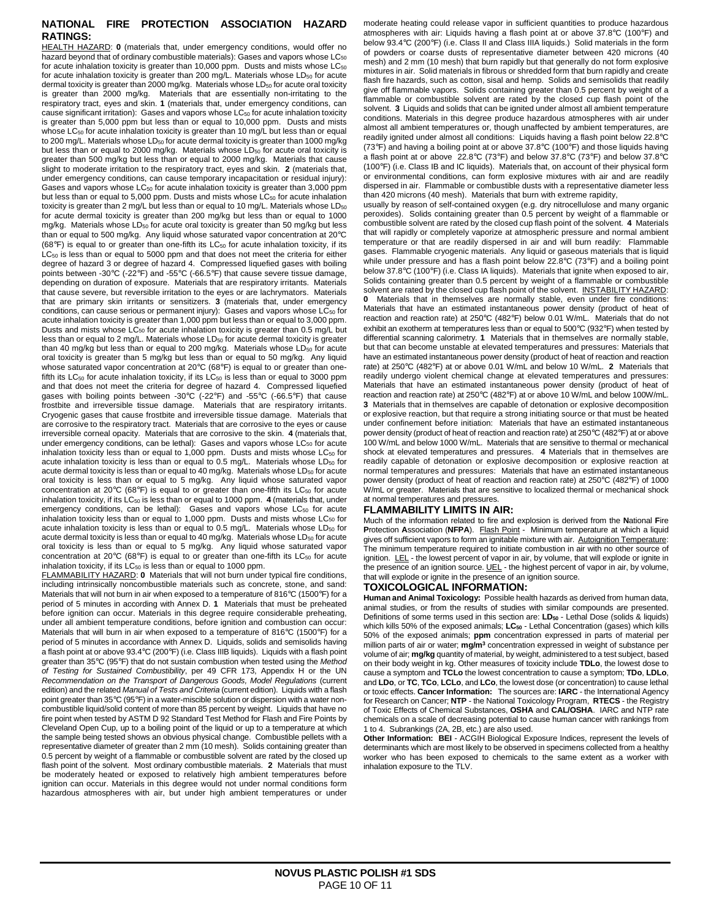#### **NATIONAL FIRE PROTECTION ASSOCIATION HAZARD RATINGS:**

HEALTH HAZARD: **0** (materials that, under emergency conditions, would offer no hazard beyond that of ordinary combustible materials): Gases and vapors whose  $LC_{50}$ for acute inhalation toxicity is greater than 10,000 ppm. Dusts and mists whose  $LC_{50}$ for acute inhalation toxicity is greater than 200 mg/L. Materials whose LD<sub>50</sub> for acute dermal toxicity is greater than 2000 mg/kg. Materials whose LD<sub>50</sub> for acute oral toxicity is greater than 2000 mg/kg. Materials that are essentially non-irritating to the respiratory tract, eyes and skin. **1** (materials that, under emergency conditions, can cause significant irritation): Gases and vapors whose  $LC_{50}$  for acute inhalation toxicity is greater than 5,000 ppm but less than or equal to 10,000 ppm. Dusts and mists whose LC $_{50}$  for acute inhalation toxicity is greater than 10 mg/L but less than or equal to 200 mg/L. Materials whose LD<sub>50</sub> for acute dermal toxicity is greater than 1000 mg/kg but less than or equal to 2000 mg/kg. Materials whose LD<sub>50</sub> for acute oral toxicity is greater than 500 mg/kg but less than or equal to 2000 mg/kg. Materials that cause slight to moderate irritation to the respiratory tract, eyes and skin. **2** (materials that, under emergency conditions, can cause temporary incapacitation or residual injury): Gases and vapors whose  $LC_{50}$  for acute inhalation toxicity is greater than 3,000 ppm but less than or equal to 5,000 ppm. Dusts and mists whose  $LC_{50}$  for acute inhalation toxicity is greater than 2 mg/L but less than or equal to 10 mg/L. Materials whose  $LD_{50}$ for acute dermal toxicity is greater than 200 mg/kg but less than or equal to 1000 mg/kg. Materials whose LD<sub>50</sub> for acute oral toxicity is greater than 50 mg/kg but less than or equal to 500 mg/kg. Any liquid whose saturated vapor concentration at 20°C (68°F) is equal to or greater than one-fifth its  $LC_{50}$  for acute inhalation toxicity, if its LC<sub>50</sub> is less than or equal to 5000 ppm and that does not meet the criteria for either degree of hazard 3 or degree of hazard 4. Compressed liquefied gases with boiling points between -30°C (-22°F) and -55°C (-66.5°F) that cause severe tissue damage, depending on duration of exposure. Materials that are respiratory irritants. Materials that cause severe, but reversible irritation to the eyes or are lachrymators. Materials that are primary skin irritants or sensitizers. **3** (materials that, under emergency conditions, can cause serious or permanent injury): Gases and vapors whose  $LC_{50}$  for acute inhalation toxicity is greater than 1,000 ppm but less than or equal to 3,000 ppm. Dusts and mists whose LC<sub>50</sub> for acute inhalation toxicity is greater than 0.5 mg/L but less than or equal to 2 mg/L. Materials whose LD<sub>50</sub> for acute dermal toxicity is greater than 40 mg/kg but less than or equal to 200 mg/kg. Materials whose  $LD_{50}$  for acute oral toxicity is greater than 5 mg/kg but less than or equal to 50 mg/kg. Any liquid whose saturated vapor concentration at 20°C (68°F) is equal to or greater than onefifth its  $LC_{50}$  for acute inhalation toxicity, if its  $LC_{50}$  is less than or equal to 3000 ppm and that does not meet the criteria for degree of hazard 4. Compressed liquefied gases with boiling points between -30°C (-22°F) and -55°C (-66.5°F) that cause frostbite and irreversible tissue damage. Materials that are respiratory irritants. Cryogenic gases that cause frostbite and irreversible tissue damage. Materials that are corrosive to the respiratory tract. Materials that are corrosive to the eyes or cause irreversible corneal opacity. Materials that are corrosive to the skin. **4** (materials that, under emergency conditions, can be lethal): Gases and vapors whose LC<sub>50</sub> for acute inhalation toxicity less than or equal to 1,000 ppm. Dusts and mists whose LC<sub>50</sub> for acute inhalation toxicity is less than or equal to 0.5 mg/L. Materials whose LD<sub>50</sub> for acute dermal toxicity is less than or equal to 40 mg/kg. Materials whose LD<sub>50</sub> for acute oral toxicity is less than or equal to 5 mg/kg. Any liquid whose saturated vapor concentration at 20 $^{\circ}$ C (68 $^{\circ}$ F) is equal to or greater than one-fifth its LC<sub>50</sub> for acute inhalation toxicity, if its LC<sub>50</sub> is less than or equal to 1000 ppm. 4 (materials that, under emergency conditions, can be lethal): Gases and vapors whose  $LC_{50}$  for acute inhalation toxicity less than or equal to 1,000 ppm. Dusts and mists whose LC<sub>50</sub> for acute inhalation toxicity is less than or equal to  $0.5$  mg/L. Materials whose  $LD_{50}$  for acute dermal toxicity is less than or equal to 40 mg/kg. Materials whose LD<sub>50</sub> for acute oral toxicity is less than or equal to 5 mg/kg. Any liquid whose saturated vapor concentration at 20 $^{\circ}$ C (68 $^{\circ}$ F) is equal to or greater than one-fifth its LC<sub>50</sub> for acute inhalation toxicity, if its LC<sub>50</sub> is less than or equal to 1000 ppm.

FLAMMABILITY HAZARD: **0** Materials that will not burn under typical fire conditions, including intrinsically noncombustible materials such as concrete, stone, and sand: Materials that will not burn in air when exposed to a temperature of 816°C (1500°F) for a period of 5 minutes in according with Annex D. **1** Materials that must be preheated before ignition can occur. Materials in this degree require considerable preheating, under all ambient temperature conditions, before ignition and combustion can occur: Materials that will burn in air when exposed to a temperature of 816°C (1500°F) for a period of 5 minutes in accordance with Annex D. Liquids, solids and semisolids having a flash point at or above 93.4°C (200°F) (i.e. Class IIIB liquids). Liquids with a flash point greater than 35°C (95°F) that do not sustain combustion when tested using the Method of Testing for Sustained Combustibility, per 49 CFR 173, Appendix H or the UN Recommendation on the Transport of Dangerous Goods, Model Regulations (current edition) and the related Manual of Tests and Criteria (current edition). Liquids with a flash point greater than 35°C (95°F) in a water-miscible solution or dispersion with a water noncombustible liquid/solid content of more than 85 percent by weight. Liquids that have no fire point when tested by ASTM D 92 Standard Test Method for Flash and Fire Points by Cleveland Open Cup, up to a boiling point of the liquid or up to a temperature at which the sample being tested shows an obvious physical change. Combustible pellets with a representative diameter of greater than 2 mm (10 mesh). Solids containing greater than 0.5 percent by weight of a flammable or combustible solvent are rated by the closed up flash point of the solvent. Most ordinary combustible materials. **2** Materials that must be moderately heated or exposed to relatively high ambient temperatures before ignition can occur. Materials in this degree would not under normal conditions form hazardous atmospheres with air, but under high ambient temperatures or under

moderate heating could release vapor in sufficient quantities to produce hazardous atmospheres with air: Liquids having a flash point at or above 37.8°C (100°F) and below 93.4°C (200°F) (i.e. Class II and Class IIIA liquids.) Solid materials in the form of powders or coarse dusts of representative diameter between 420 microns (40 mesh) and 2 mm (10 mesh) that burn rapidly but that generally do not form explosive mixtures in air. Solid materials in fibrous or shredded form that burn rapidly and create flash fire hazards, such as cotton, sisal and hemp. Solids and semisolids that readily give off flammable vapors. Solids containing greater than 0.5 percent by weight of a flammable or combustible solvent are rated by the closed cup flash point of the solvent. **3** Liquids and solids that can be ignited under almost all ambient temperature conditions. Materials in this degree produce hazardous atmospheres with air under almost all ambient temperatures or, though unaffected by ambient temperatures, are readily ignited under almost all conditions: Liquids having a flash point below 22.8°C (73°F) and having a boiling point at or above 37.8°C (100°F) and those liquids having a flash point at or above 22.8°C (73°F) and below 37.8°C (73°F) and below 37.8°C (100°F) (i.e. Class IB and IC liquids). Materials that, on account of their physical form or environmental conditions, can form explosive mixtures with air and are readily dispersed in air. Flammable or combustible dusts with a representative diameter less than 420 microns (40 mesh). Materials that burn with extreme rapidity,

usually by reason of self-contained oxygen (e.g. dry nitrocellulose and many organic peroxides). Solids containing greater than 0.5 percent by weight of a flammable or combustible solvent are rated by the closed cup flash point of the solvent. **4** Materials that will rapidly or completely vaporize at atmospheric pressure and normal ambient temperature or that are readily dispersed in air and will burn readily: Flammable gases. Flammable cryogenic materials. Any liquid or gaseous materials that is liquid while under pressure and has a flash point below 22.8°C (73°F) and a boiling point below 37.8°C (100°F) (i.e. Class IA liquids). Materials that ignite when exposed to air, Solids containing greater than 0.5 percent by weight of a flammable or combustible solvent are rated by the closed cup flash point of the solvent. INSTABILITY HAZARD: **0** Materials that in themselves are normally stable, even under fire conditions: Materials that have an estimated instantaneous power density (product of heat of reaction and reaction rate) at 250°C (482°F) below 0.01 W/mL. Materials that do not exhibit an exotherm at temperatures less than or equal to 500°C (932°F) when tested by differential scanning calorimetry. **1** Materials that in themselves are normally stable, but that can become unstable at elevated temperatures and pressures: Materials that have an estimated instantaneous power density (product of heat of reaction and reaction rate) at 250°C (482°F) at or above 0.01 W/mL and below 10 W/mL. **2** Materials that readily undergo violent chemical change at elevated temperatures and pressures: Materials that have an estimated instantaneous power density (product of heat of reaction and reaction rate) at 250°C (482°F) at or above 10 W/mL and below 100W/mL. **3** Materials that in themselves are capable of detonation or explosive decomposition or explosive reaction, but that require a strong initiating source or that must be heated under confinement before initiation: Materials that have an estimated instantaneous power density (product of heat of reaction and reaction rate) at 250°C (482°F) at or above 100 W/mL and below 1000 W/mL. Materials that are sensitive to thermal or mechanical shock at elevated temperatures and pressures. **4** Materials that in themselves are readily capable of detonation or explosive decomposition or explosive reaction at normal temperatures and pressures: Materials that have an estimated instantaneous power density (product of heat of reaction and reaction rate) at 250°C (482°F) of 1000 W/mL or greater. Materials that are sensitive to localized thermal or mechanical shock at normal temperatures and pressures.

#### **FLAMMABILITY LIMITS IN AIR:**

Much of the information related to fire and explosion is derived from the **N**ational **F**ire **Protection Association (NFPA).** Flash Point - Minimum temperature at which a liquid gives off sufficient vapors to form an ignitable mixture with air. Autoignition Temperature: The minimum temperature required to initiate combustion in air with no other source of ignition. LEL - the lowest percent of vapor in air, by volume, that will explode or ignite in the presence of an ignition source. UEL - the highest percent of vapor in air, by volume, that will explode or ignite in the presence of an ignition source.

#### **TOXICOLOGICAL INFORMATION:**

**Human and Animal Toxicology:** Possible health hazards as derived from human data, animal studies, or from the results of studies with similar compounds are presented. Definitions of some terms used in this section are: **LD50** - Lethal Dose (solids & liquids) which kills 50% of the exposed animals; **LC50** - Lethal Concentration (gases) which kills 50% of the exposed animals; **ppm** concentration expressed in parts of material per million parts of air or water; **mg/m<sup>3</sup>** concentration expressed in weight of substance per volume of air; **mg/kg** quantity of material, by weight, administered to a test subject, based on their body weight in kg. Other measures of toxicity include **TDLo**, the lowest dose to cause a symptom and **TCLo** the lowest concentration to cause a symptom; **TDo**, **LDLo**, and **LDo**, or **TC**, **TCo**, **LCLo**, and **LCo**, the lowest dose (or concentration) to cause lethal or toxic effects. **Cancer Information:** The sources are: **IARC** - the International Agency for Research on Cancer; **NTP** - the National Toxicology Program, **RTECS** - the Registry of Toxic Effects of Chemical Substances, **OSHA** and **CAL/OSHA**. IARC and NTP rate chemicals on a scale of decreasing potential to cause human cancer with rankings from 1 to 4. Subrankings (2A, 2B, etc.) are also used.

**Other Information: BEI** - ACGIH Biological Exposure Indices, represent the levels of determinants which are most likely to be observed in specimens collected from a healthy worker who has been exposed to chemicals to the same extent as a worker with inhalation exposure to the TLV.